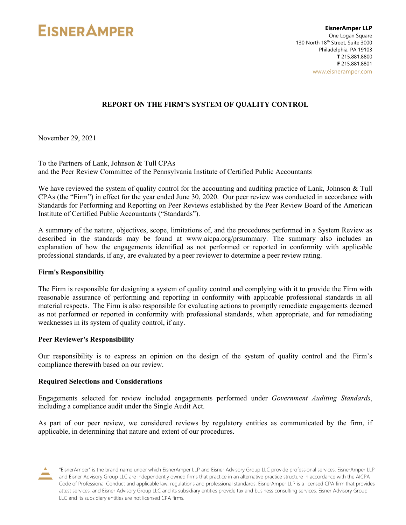

### **REPORT ON THE FIRM'S SYSTEM OF QUALITY CONTROL**

November 29, 2021

To the Partners of Lank, Johnson & Tull CPAs and the Peer Review Committee of the Pennsylvania Institute of Certified Public Accountants

We have reviewed the system of quality control for the accounting and auditing practice of Lank, Johnson & Tull CPAs (the "Firm") in effect for the year ended June 30, 2020. Our peer review was conducted in accordance with Standards for Performing and Reporting on Peer Reviews established by the Peer Review Board of the American Institute of Certified Public Accountants ("Standards").

A summary of the nature, objectives, scope, limitations of, and the procedures performed in a System Review as described in the standards may be found at www.aicpa.org/prsummary. The summary also includes an explanation of how the engagements identified as not performed or reported in conformity with applicable professional standards, if any, are evaluated by a peer reviewer to determine a peer review rating.

#### **Firm's Responsibility**

The Firm is responsible for designing a system of quality control and complying with it to provide the Firm with reasonable assurance of performing and reporting in conformity with applicable professional standards in all material respects. The Firm is also responsible for evaluating actions to promptly remediate engagements deemed as not performed or reported in conformity with professional standards, when appropriate, and for remediating weaknesses in its system of quality control, if any.

#### **Peer Reviewer's Responsibility**

Our responsibility is to express an opinion on the design of the system of quality control and the Firm's compliance therewith based on our review.

#### **Required Selections and Considerations**

Engagements selected for review included engagements performed under *Government Auditing Standards*, including a compliance audit under the Single Audit Act.

As part of our peer review, we considered reviews by regulatory entities as communicated by the firm, if applicable, in determining that nature and extent of our procedures.

<sup>&</sup>quot;EisnerAmper" is the brand name under which EisnerAmper LLP and Eisner Advisory Group LLC provide professional services. EisnerAmper LLP and Eisner Advisory Group LLC are independently owned firms that practice in an alternative practice structure in accordance with the AICPA Code of Professional Conduct and applicable law, regulations and professional standards. EisnerAmper LLP is a licensed CPA firm that provides attest services, and Eisner Advisory Group LLC and its subsidiary entities provide tax and business consulting services. Eisner Advisory Group LLC and its subsidiary entities are not licensed CPA firms.